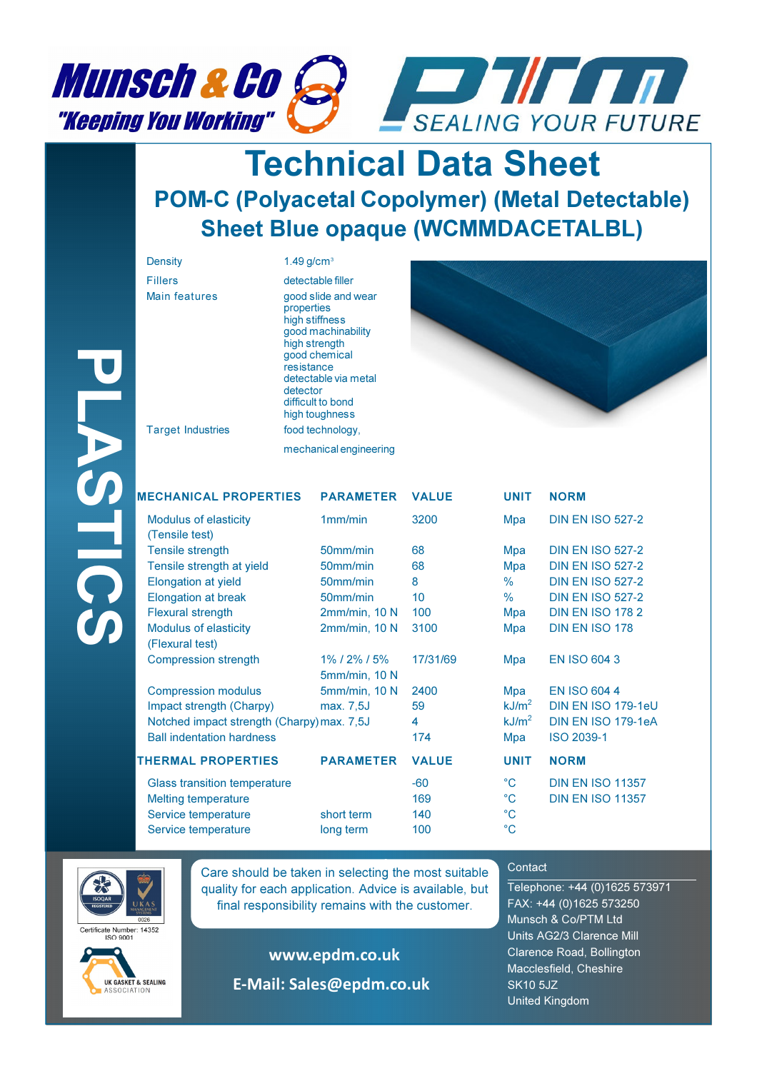

## Technical Data Sheet POM**-**C (Polyacetal Copolymer) (Metal Detectable) Sheet Blue opaque (WCMMDACETALBL)

| <b>Density</b>                                 | $1.49$ g/cm <sup>3</sup>             |                                                                                                                                                              |              |               |               |
|------------------------------------------------|--------------------------------------|--------------------------------------------------------------------------------------------------------------------------------------------------------------|--------------|---------------|---------------|
| <b>Fillers</b>                                 |                                      | detectable filler                                                                                                                                            |              |               |               |
| <b>Main features</b>                           | properties<br>resistance<br>detector | good slide and wear<br>high stiffness<br>good machinability<br>high strength<br>good chemical<br>detectable via metal<br>difficult to bond<br>high toughness |              |               |               |
| <b>Target Industries</b>                       |                                      | food technology,                                                                                                                                             |              |               |               |
|                                                |                                      | mechanical engineering                                                                                                                                       |              |               |               |
| <b>MECHANICAL PROPERTIES</b>                   |                                      | <b>PARAMETER</b>                                                                                                                                             | <b>VALUE</b> | <b>UNIT</b>   | <b>NORM</b>   |
| <b>Modulus of elasticity</b><br>(Tensile test) |                                      | 1mm/min                                                                                                                                                      | 3200         | Mpa           | <b>DIN EN</b> |
| <b>Tensile strength</b>                        |                                      | 50mm/min                                                                                                                                                     | 68           | Mpa           | <b>DIN EN</b> |
| Tensile strength at yield                      |                                      | 50mm/min                                                                                                                                                     | 68           | Mpa           | <b>DIN EN</b> |
| <b>Elongation at yield</b>                     |                                      | 50mm/min                                                                                                                                                     | 8            | $\frac{9}{6}$ | <b>DIN EN</b> |
| <b>Elongation at break</b>                     |                                      | 50mm/min                                                                                                                                                     | 10           | $\%$          | <b>DIN EN</b> |



|             | <b>Target Industries</b>                        | resistance<br>detector | good chemical<br>detectable via metal<br>difficult to bond<br>high toughness<br>food technology, |                   |                    |                         |
|-------------|-------------------------------------------------|------------------------|--------------------------------------------------------------------------------------------------|-------------------|--------------------|-------------------------|
|             |                                                 |                        |                                                                                                  |                   |                    |                         |
|             |                                                 |                        | mechanical engineering                                                                           |                   |                    |                         |
|             | <b>MECHANICAL PROPERTIES</b>                    |                        | <b>PARAMETER</b>                                                                                 | <b>VALUE</b>      | <b>UNIT</b>        | <b>NORM</b>             |
| <b>TICS</b> | <b>Modulus of elasticity</b><br>(Tensile test)  |                        | 1mm/min                                                                                          | 3200              | Mpa                | <b>DIN EN ISO 527-2</b> |
|             | <b>Tensile strength</b>                         |                        | 50mm/min                                                                                         | 68                | Mpa                | <b>DIN EN ISO 527-2</b> |
|             | Tensile strength at yield                       |                        | 50mm/min                                                                                         | 68                | Mpa                | <b>DIN EN ISO 527-2</b> |
|             | <b>Elongation at yield</b>                      |                        | 50mm/min                                                                                         | 8                 | $\%$               | <b>DIN EN ISO 527-2</b> |
|             | <b>Elongation at break</b>                      |                        | 50mm/min                                                                                         | 10                | $\frac{0}{0}$      | <b>DIN EN ISO 527-2</b> |
|             | <b>Flexural strength</b>                        |                        | 2mm/min, 10 N                                                                                    | 100               | Mpa                | <b>DIN EN ISO 1782</b>  |
|             | <b>Modulus of elasticity</b><br>(Flexural test) |                        | 2mm/min, 10 N                                                                                    | 3100              | Mpa                | DIN EN ISO 178          |
|             | <b>Compression strength</b>                     |                        | 1% / 2% / 5%<br>5mm/min, 10 N                                                                    | 17/31/69          | Mpa                | <b>EN ISO 604 3</b>     |
|             | <b>Compression modulus</b>                      |                        | 5mm/min, 10 N                                                                                    | 2400              | Mpa                | <b>EN ISO 604 4</b>     |
|             | Impact strength (Charpy)                        |                        | max. 7,5J                                                                                        | 59                | kJ/m <sup>2</sup>  | DIN EN ISO 179-1eU      |
|             | Notched impact strength (Charpy) max. 7,5J      |                        | 4                                                                                                | kJ/m <sup>2</sup> | DIN EN ISO 179-1eA |                         |
|             | <b>Ball indentation hardness</b>                |                        |                                                                                                  | 174               | Mpa                | <b>ISO 2039-1</b>       |
|             | <b>THERMAL PROPERTIES</b>                       |                        | <b>PARAMETER</b>                                                                                 | <b>VALUE</b>      | <b>UNIT</b>        | <b>NORM</b>             |
|             | <b>Glass transition temperature</b>             |                        |                                                                                                  | $-60$             | $^{\circ}$ C       | <b>DIN EN ISO 11357</b> |
|             | <b>Melting temperature</b>                      |                        |                                                                                                  | 169               | $^{\circ}$ C       | <b>DIN EN ISO 11357</b> |
|             | Service temperature                             |                        | short term                                                                                       | 140               | $^{\circ}C$        |                         |
|             | Service temperature                             |                        | long term                                                                                        | 100               | $^{\circ}C$        |                         |
|             |                                                 |                        |                                                                                                  |                   |                    |                         |

| JNII                               | NURM                                                                                                                             |
|------------------------------------|----------------------------------------------------------------------------------------------------------------------------------|
| Лра                                | <b>DIN EN ISO 527-2</b>                                                                                                          |
| ∕lpa<br>∧ра<br>6<br>6              | <b>DIN EN ISO 527-2</b><br><b>DIN EN ISO 527-2</b><br><b>DIN EN ISO 527-2</b><br><b>DIN EN ISO 527-2</b><br>Apa DIN EN ISO 178 2 |
| ∧ра<br>Лра                         | <b>DIN EN ISO 178</b><br><b>EN ISO 604 3</b>                                                                                     |
| ∕Іра<br>: $\mathsf{J/m}^2$<br>∕lpa | <b>EN ISO 604 4</b><br>DIN EN ISO 179-1eU<br>$1.3\,$ m $^2$ DIN EN ISO 179-1eA<br><b>ISO 2039-1</b>                              |
|                                    | <b>JNIT NORM</b>                                                                                                                 |
| Ċ<br>C<br>Ċ<br>Ċ                   | <b>DIN EN ISO 11357</b><br><b>DIN EN ISO 11357</b>                                                                               |



ertificate Number: 14352



**Care should be taken in selecting the most suitable** quality for each application. Advice is available, but final responsibility remains with the customer.

> www.epdm.co.uk E-Mail: Sales@epdm.co.uk

## **Contact**

Telephone: +44 (0)1625 573971 FAX: +44 (0)1625 573250 Munsch & Co/PTM Ltd Units AG2/3 Clarence Mill Clarence Road, Bollington Macclesfield, Cheshire SK10 5JZ United Kingdom